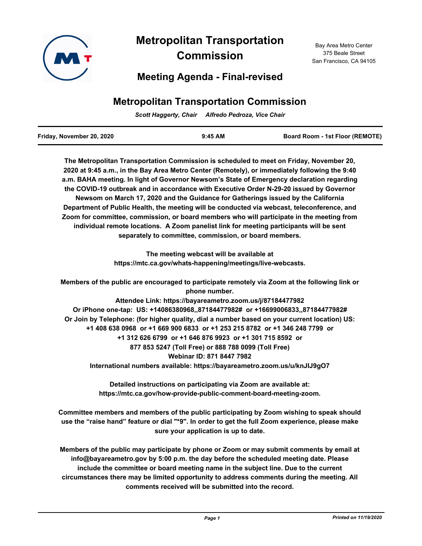

# **Metropolitan Transportation Commission**

Bay Area Metro Center 375 Beale Street San Francisco, CA 94105

## **Meeting Agenda - Final-revised**

# **Metropolitan Transportation Commission**

*Scott Haggerty, Chair Alfredo Pedroza, Vice Chair*

| Friday, November 20, 2020 | $9:45$ AM | <b>Board Room - 1st Floor (REMOTE)</b> |
|---------------------------|-----------|----------------------------------------|
|                           |           |                                        |

**The Metropolitan Transportation Commission is scheduled to meet on Friday, November 20, 2020 at 9:45 a.m., in the Bay Area Metro Center (Remotely), or immediately following the 9:40 a.m. BAHA meeting. In light of Governor Newsom's State of Emergency declaration regarding the COVID-19 outbreak and in accordance with Executive Order N-29-20 issued by Governor Newsom on March 17, 2020 and the Guidance for Gatherings issued by the California Department of Public Health, the meeting will be conducted via webcast, teleconference, and Zoom for committee, commission, or board members who will participate in the meeting from individual remote locations. A Zoom panelist link for meeting participants will be sent separately to committee, commission, or board members.**

> **The meeting webcast will be available at https://mtc.ca.gov/whats-happening/meetings/live-webcasts.**

**Members of the public are encouraged to participate remotely via Zoom at the following link or phone number.**

**Attendee Link: https://bayareametro.zoom.us/j/87184477982 Or iPhone one-tap: US: +14086380968,,87184477982# or +16699006833,,87184477982# Or Join by Telephone: (for higher quality, dial a number based on your current location) US: +1 408 638 0968 or +1 669 900 6833 or +1 253 215 8782 or +1 346 248 7799 or +1 312 626 6799 or +1 646 876 9923 or +1 301 715 8592 or 877 853 5247 (Toll Free) or 888 788 0099 (Toll Free) Webinar ID: 871 8447 7982 International numbers available: https://bayareametro.zoom.us/u/knJIJ9gO7**

> **Detailed instructions on participating via Zoom are available at: https://mtc.ca.gov/how-provide-public-comment-board-meeting-zoom.**

**Committee members and members of the public participating by Zoom wishing to speak should use the "raise hand" feature or dial "\*9". In order to get the full Zoom experience, please make sure your application is up to date.**

**Members of the public may participate by phone or Zoom or may submit comments by email at info@bayareametro.gov by 5:00 p.m. the day before the scheduled meeting date. Please include the committee or board meeting name in the subject line. Due to the current circumstances there may be limited opportunity to address comments during the meeting. All comments received will be submitted into the record.**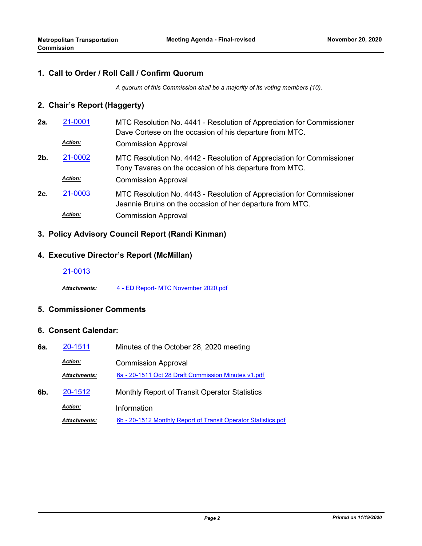#### **1. Call to Order / Roll Call / Confirm Quorum**

*A quorum of this Commission shall be a majority of its voting members (10).*

#### **2. Chair's Report (Haggerty)**

| 2a. | 21-0001        | MTC Resolution No. 4441 - Resolution of Appreciation for Commissioner<br>Dave Cortese on the occasion of his departure from MTC.   |
|-----|----------------|------------------------------------------------------------------------------------------------------------------------------------|
|     | <b>Action:</b> | <b>Commission Approval</b>                                                                                                         |
| 2b. | 21-0002        | MTC Resolution No. 4442 - Resolution of Appreciation for Commissioner<br>Tony Tavares on the occasion of his departure from MTC.   |
|     | <b>Action:</b> | <b>Commission Approval</b>                                                                                                         |
| 2c. | 21-0003        | MTC Resolution No. 4443 - Resolution of Appreciation for Commissioner<br>Jeannie Bruins on the occasion of her departure from MTC. |
|     | <b>Action:</b> | <b>Commission Approval</b>                                                                                                         |

#### **3. Policy Advisory Council Report (Randi Kinman)**

#### **4. Executive Director's Report (McMillan)**

*Attachments:* [4 - ED Report- MTC November 2020.pdf](http://mtc.legistar.com/gateway.aspx?M=F&ID=454d1b96-e8fa-45f8-b765-9de17b0b91f1.pdf)

#### **5. Commissioner Comments**

#### **6. Consent Calendar:**

| 6а. | 20-1511             | Minutes of the October 28, 2020 meeting                        |
|-----|---------------------|----------------------------------------------------------------|
|     | <b>Action:</b>      | <b>Commission Approval</b>                                     |
|     | <b>Attachments:</b> | 6a - 20-1511 Oct 28 Draft Commission Minutes v1.pdf            |
| 6b. | 20-1512             | Monthly Report of Transit Operator Statistics                  |
|     | <b>Action:</b>      | Information                                                    |
|     | <b>Attachments:</b> | 6b - 20-1512 Monthly Report of Transit Operator Statistics.pdf |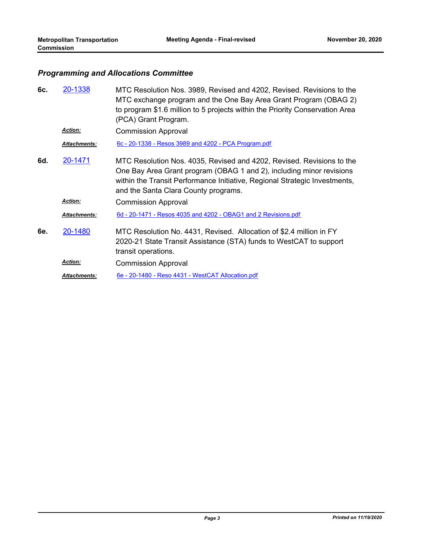### *Programming and Allocations Committee*

| 6с. | 20-1338             | MTC Resolution Nos. 3989, Revised and 4202, Revised. Revisions to the<br>MTC exchange program and the One Bay Area Grant Program (OBAG 2)<br>to program \$1.6 million to 5 projects within the Priority Conservation Area<br>(PCA) Grant Program.                   |
|-----|---------------------|---------------------------------------------------------------------------------------------------------------------------------------------------------------------------------------------------------------------------------------------------------------------|
|     | <b>Action:</b>      | <b>Commission Approval</b>                                                                                                                                                                                                                                          |
|     | Attachments:        | 6c - 20-1338 - Resos 3989 and 4202 - PCA Program.pdf                                                                                                                                                                                                                |
| 6d. | 20-1471             | MTC Resolution Nos. 4035, Revised and 4202, Revised. Revisions to the<br>One Bay Area Grant program (OBAG 1 and 2), including minor revisions<br>within the Transit Performance Initiative, Regional Strategic Investments,<br>and the Santa Clara County programs. |
|     | <b>Action:</b>      | <b>Commission Approval</b>                                                                                                                                                                                                                                          |
|     | <b>Attachments:</b> | 6d - 20-1471 - Resos 4035 and 4202 - OBAG1 and 2 Revisions.pdf                                                                                                                                                                                                      |
| 6e. | 20-1480             | MTC Resolution No. 4431, Revised. Allocation of \$2.4 million in FY<br>2020-21 State Transit Assistance (STA) funds to WestCAT to support<br>transit operations.                                                                                                    |
|     | <b>Action:</b>      | <b>Commission Approval</b>                                                                                                                                                                                                                                          |
|     | <b>Attachments:</b> | 6e - 20-1480 - Reso 4431 - WestCAT Allocation.pdf                                                                                                                                                                                                                   |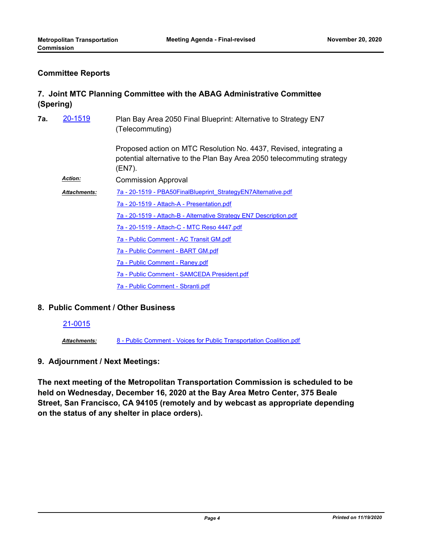#### **Committee Reports**

### **7. Joint MTC Planning Committee with the ABAG Administrative Committee (Spering)**

| 7a. | 20-1519        | Plan Bay Area 2050 Final Blueprint: Alternative to Strategy EN7<br>(Telecommuting)                                                                     |
|-----|----------------|--------------------------------------------------------------------------------------------------------------------------------------------------------|
|     |                | Proposed action on MTC Resolution No. 4437, Revised, integrating a<br>potential alternative to the Plan Bay Area 2050 telecommuting strategy<br>(EN7). |
|     | <b>Action:</b> | <b>Commission Approval</b>                                                                                                                             |
|     | Attachments:   | 7a - 20-1519 - PBA50FinalBlueprint StrategyEN7Alternative.pdf                                                                                          |
|     |                | 7a - 20-1519 - Attach-A - Presentation.pdf                                                                                                             |
|     |                | 7a - 20-1519 - Attach-B - Alternative Strategy EN7 Description.pdf                                                                                     |
|     |                | 7a - 20-1519 - Attach-C - MTC Reso 4447.pdf                                                                                                            |
|     |                | 7a - Public Comment - AC Transit GM.pdf                                                                                                                |
|     |                | 7a - Public Comment - BART GM.pdf                                                                                                                      |
|     |                | 7a - Public Comment - Raney.pdf                                                                                                                        |
|     |                | 7a - Public Comment - SAMCEDA President.pdf                                                                                                            |
|     |                | 7a - Public Comment - Sbranti.pdf                                                                                                                      |

#### **8. Public Comment / Other Business**

#### [21-0015](http://mtc.legistar.com/gateway.aspx?m=l&id=/matter.aspx?key=21608)

*Attachments:* [8 - Public Comment - Voices for Public Transportation Coalition.pdf](http://mtc.legistar.com/gateway.aspx?M=F&ID=cb034b25-5f17-40d9-a536-8dc32e3dac3a.pdf)

#### **9. Adjournment / Next Meetings:**

**The next meeting of the Metropolitan Transportation Commission is scheduled to be held on Wednesday, December 16, 2020 at the Bay Area Metro Center, 375 Beale Street, San Francisco, CA 94105 (remotely and by webcast as appropriate depending on the status of any shelter in place orders).**